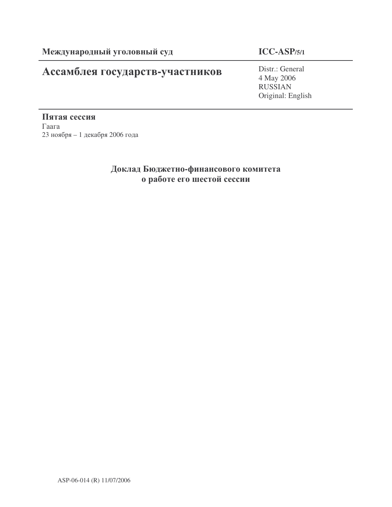## Ассамблея государств-участников

## **ICC-ASP/5/1**

Distr.: General 4 May 2006 RUSSIAN Original: English

Пятая сессия  $\Gamma$ аага  $23$  ноября – 1 декабря 2006 года

## Доклад Бюджетно-финансового комитета о работе его шестой сессии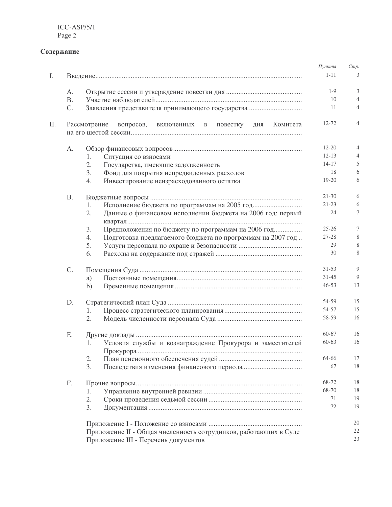## Содержание

|    |           |                                                                       | Пункты    | Cmp. |
|----|-----------|-----------------------------------------------------------------------|-----------|------|
| I. |           |                                                                       | $1 - 11$  | 3    |
|    | А.        |                                                                       | $1-9$     | 3    |
|    | <b>B.</b> |                                                                       | 10        |      |
|    | C.        | Заявления представителя принимающего государства                      | 11        | 4    |
| П. |           | Рассмотрение<br>вопросов,<br>Комитета<br>включенных в повестку<br>ДНЯ | 12-72     | 4    |
|    |           |                                                                       |           |      |
|    | A.        |                                                                       | $12 - 20$ | 4    |
|    |           | Ситуация со взносами<br>1.                                            | $12 - 13$ | 4    |
|    |           | Государства, имеющие задолженность<br>2.                              | $14 - 17$ | 5    |
|    |           | 3.<br>Фонд для покрытия непредвиденных расходов                       | 18        | 6    |
|    |           | 4.<br>Инвестирование неизрасходованного остатка                       | 19-20     | 6    |
|    | <b>B.</b> |                                                                       | $21 - 30$ | 6    |
|    |           | 1.                                                                    | $21 - 23$ | 6    |
|    |           | Данные о финансовом исполнении бюджета на 2006 год: первый<br>2.      | 24        | 7    |
|    |           | Предположения по бюджету по программам на 2006 год<br>3.              | $25 - 26$ | 7    |
|    |           | Подготовка предлагаемого бюджета по программам на 2007 год<br>4.      | $27 - 28$ | 8    |
|    |           | 5.                                                                    | 29        | 8    |
|    |           | 6.                                                                    | 30        | 8    |
|    | C.        |                                                                       | $31 - 53$ | 9    |
|    |           | a)                                                                    | $31 - 45$ | 9    |
|    |           | b)                                                                    | $46 - 53$ | 13   |
|    | D.        |                                                                       | 54-59     | 15   |
|    |           | 1.                                                                    | 54-57     | 15   |
|    |           | 2.                                                                    | 58-59     | 16   |
|    | Е.        |                                                                       | 60-67     | 16   |
|    |           | Условия службы и вознаграждение Прокурора и заместителей<br>1.        | 60-63     | 16   |
|    |           | 2.                                                                    | 64-66     | 17   |
|    |           | 3.                                                                    | 67        | 18   |
|    | F.        |                                                                       | 68-72     | 18   |
|    |           | 1.                                                                    | 68-70     | 18   |
|    |           | 2.                                                                    | 71        | 19   |
|    |           | 3.                                                                    | 72        | 19   |
|    |           |                                                                       |           | 20   |
|    |           | Приложение II - Общая численность сотрудников, работающих в Суде      |           | 22   |
|    |           | Приложение III - Перечень документов                                  |           | 23   |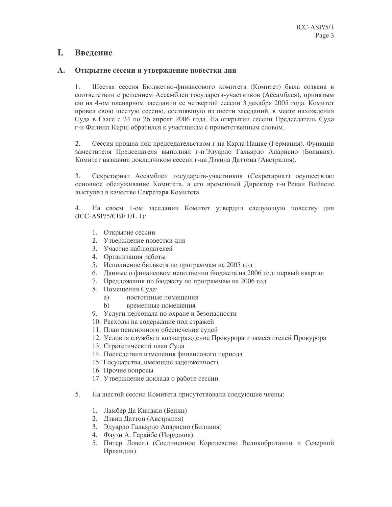### L. Введение

### $\mathbf{A}_{\bullet}$ Открытие сессии и утверждение повестки дня

Шестая сессия Бюджетно-финансового комитета (Комитет) была созвана в  $\mathbf{1}$ . соответствии с решением Ассамблеи государств-участников (Ассамблея), принятым ею на 4-ом пленарном заседании ее четвертой сессии 3 декабря 2005 года. Комитет провел свою шестую сессию, состоявшую из шести заседаний, в месте нахождения Суда в Гааге с 24 по 26 апреля 2006 года. На открытии сессии Председатель Суда г-н Филипп Кирш обратился к участникам с приветственным словом.

2. Сессия прошла под председательством г-на Карла Пашке (Германия). Функции заместителя Председателя выполнял г-н Эдуардо Гальярдо Апарисио (Боливия). Комитет назначил докладчиком сессии г-на Дэвида Даттона (Австралия).

 $3.$ Секретариат Ассамблеи государств-участников (Секретариат) осуществлял основное обслуживание Комитета, а его временный Директор г-н Ренан Вийясис выступал в качестве Секретаря Комитета.

 $\overline{4}$ . На своем 1-ом заседании Комитет утвердил следующую повестку дня  $(ICC-ASP/5/CBF.1/L.1):$ 

- 1. Открытие сессии
- 2. Утверждение повестки дня
- 3. Участие наблюдателей
- 4. Организация работы
- 5. Исполнение бюджета по программам на 2005 год
- 6. Данные о финансовом исполнении бюджета на 2006 год: первый квартал
- 7. Предложения по бюджету по программам на 2006 год
- 8. Помещения Суда:
	- a) постоянные помешения
	- $b)$ временные помещения
- 9. Услуги персонала по охране и безопасности
- 10. Расходы на содержание под стражей
- 11. План пенсионного обеспечения судей
- 12. Условия службы и вознаграждение Прокурора и заместителей Прокурора
- 13. Стратегический план Суда
- 14. Последствия изменения финансового периода
- 15. Государства, имеющие задолженность
- 16. Прочие вопросы
- 17. Утверждение доклада о работе сессии
- На шестой сессии Комитета присутствовали следующие члены:  $5<sub>1</sub>$ 
	- 1. Ламбер Да Кинджи (Бенин)
	- 2. Дэвид Даттон (Австралия)
	- 3. Эдуардо Гальярдо Апарисио (Боливия)
	- 4. Фаузи А. Гарайбе (Иордания)
	- 5. Питер Ловелл (Соединенное Королевство Великобритании и Северной Ирландии)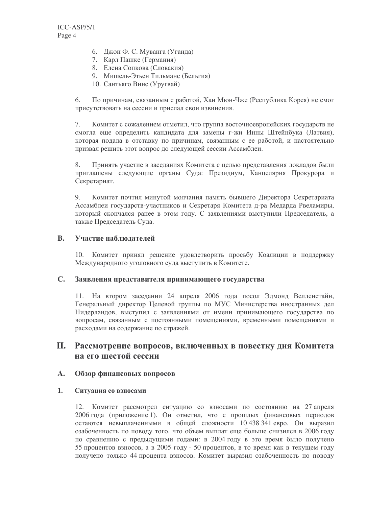- 6. Джон Ф. С. Муванга (Уганда)
- 7. Карл Пашке (Германия)
- 8. Елена Сопкова (Словакия)
- 9. Мишель-Этьен Тильманс (Бельгия)
- 10. Сантьяго Винс (Уругвай)

По причинам, связанным с работой, Хан Мюн-Чже (Республика Корея) не смог 6. присутствовать на сессии и прислал свои извинения.

 $7.$ Комитет с сожалением отметил, что группа восточноевропейских государств не смогла еще определить кандидата для замены г-жи Инны Штейнбука (Латвия), которая подала в отставку по причинам, связанным с ее работой, и настоятельно призвал решить этот вопрос до следующей сессии Ассамблеи.

8. Принять участие в заседаниях Комитета с целью представления докладов были приглашены следующие органы Суда: Президиум, Канцелярия Прокурора и Секретариат.

9. Комитет почтил минутой молчания память бывшего Директора Секретариата Ассамблеи государств-участников и Секретаря Комитета д-ра Медарда Рвеламиры, который скончался ранее в этом году. С заявлениями выступили Председатель, а также Председатель Суда.

### $\mathbf{R}$ . Участие наблюлателей

10. Комитет принял решение удовлетворить просьбу Коалиции в поддержку Международного уголовного суда выступить в Комитете.

### $\mathbf{C}$ . Заявления представителя принимающего государства

11. На втором заседании 24 апреля 2006 года посол Эдмонд Велленстайн, Генеральный директор Целевой группы по МУС Министерства иностранных дел Нидерландов, выступил с заявлениями от имени принимающего государства по вопросам, связанным с постоянными помещениями, временными помещениями и расходами на содержание по стражей.

### II. Рассмотрение вопросов, включенных в повестку дня Комитета на его шестой сессии

### $\mathbf{A}_{\bullet}$ Обзор финансовых вопросов

### 1. Ситуация со взносами

12. Комитет рассмотрел ситуацию со взносами по состоянию на 27 апреля 2006 года (приложение 1). Он отметил, что с прошлых финансовых периодов остаются невыплаченными в общей сложности 10 438 341 евро. Он выразил озабоченность по поводу того, что объем выплат еще больше снизился в 2006 году по сравнению с предыдущими годами: в 2004 году в это время было получено 55 процентов взносов, а в 2005 году - 50 процентов, в то время как в текущем году получено только 44 процента взносов. Комитет выразил озабоченность по поводу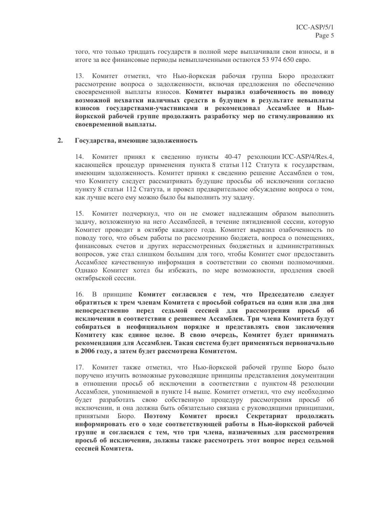того, что только тридцать государств в полной мере выплачивали свои взносы, и в итоге за все финансовые периоды невыплаченными остаются 53 974 650 евро.

Комитет отметил, что Нью-йоркская рабочая группа Бюро продолжит 13. рассмотрение вопроса о задолженности, включая предложения по обеспечению своевременной выплаты взносов. Комитет выразил озабоченность по поводу возможной нехватки наличных средств в будущем в результате невыплаты взносов государствами-участниками и рекомендовал Ассамблее и Ньюйоркской рабочей группе продолжить разработку мер по стимулированию их своевременной выплаты.

### Государства, имеющие задолженность  $2.$

14. Комитет принял к сведению пункты 40-47 резолюции ICC-ASP/4/Res.4, касающейся процедур применения пункта 8 статьи 112 Статута к государствам, имеющим задолженность. Комитет принял к сведению решение Ассамблеи о том, что Комитету следует рассматривать будущие просьбы об исключении согласно пункту 8 статьи 112 Статута, и провел предварительное обсуждение вопроса о том, как лучше всего ему можно было бы выполнить эту задачу.

15. Комитет подчеркнул, что он не сможет надлежащим образом выполнить задачу, возложенную на него Ассамблеей, в течение пятидневной сессии, которую Комитет проводит в октябре каждого года. Комитет выразил озабоченность по поводу того, что объем работы по рассмотрению бюджета, вопроса о помещениях, финансовых счетов и других нерассмотренных бюджетных и административных вопросов, уже стал слишком большим для того, чтобы Комитет смог предоставить Ассамблее качественную информация в соответствии со своими полномочиями. Однако Комитет хотел бы избежать, по мере возможности, продления своей октябрьской сессии.

16. В принципе Комитет согласился с тем, что Председателю следует обратиться к трем членам Комитета с просьбой собраться на один или два дня непосредственно перед седьмой сессией для рассмотрения просьб об исключении в соответствии с решением Ассамблеи. Три члена Комитета будут собираться в неофициальном порядке и представлять свои заключения Комитету как единое целое. В свою очередь, Комитет будет принимать рекомендации для Ассамблеи. Такая система будет применяться первоначально в 2006 году, а затем будет рассмотрена Комитетом.

17. Комитет также отметил, что Нью-йоркской рабочей группе Бюро было поручено изучить возможные руководящие принципы представления документации в отношении просьб об исключении в соответствии с пунктом 48 резолюции Ассамблеи, упоминаемой в пункте 14 выше. Комитет отметил, что ему необходимо будет разработать свою собственную процедуру рассмотрения просьб об исключении, и она должна быть обязательно связана с руководящими принципами, принятыми Бюро. Поэтому Комитет просил Секретариат продолжать информировать его о ходе соответствующей работы в Нью-йоркской рабочей группе и согласился с тем, что три члена, назначенных для рассмотрения просьб об исключении, должны также рассмотреть этот вопрос перед седьмой сессией Комитета.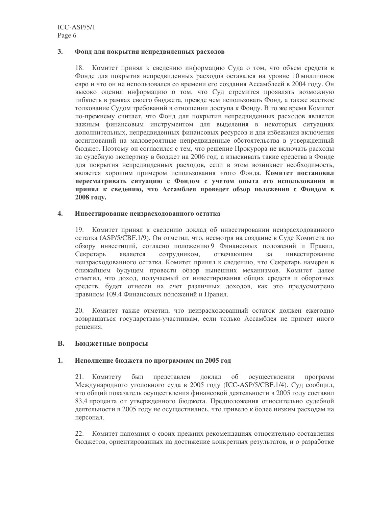#### $3.$ Фонд для покрытия непредвиденных расходов

18. Комитет принял к сведению информацию Суда о том, что объем средств в Фонде для покрытия непредвиденных расходов оставался на уровне 10 миллионов евро и что он не использовался со времени его создания Ассамблеей в 2004 году. Он высоко оценил информацию о том, что Суд стремится проявлять возможную гибкость в рамках своего бюджета, прежде чем использовать Фонд, а также жесткое толкование Судом требований в отношении доступа к Фонду. В то же время Комитет по-прежнему считает, что Фонд для покрытия непредвиденных расходов является важным финансовым инструментом для выделения в некоторых ситуациях дополнительных, непредвиденных финансовых ресурсов и для избежания включения ассигнований на маловероятные непредвиденные обстоятельства в утвержденный бюджет. Поэтому он согласился с тем, что решение Прокурора не включать расходы на судебную экспертизу в бюджет на 2006 год, а изыскивать такие средства в Фонде для покрытия непредвиденных расходов, если в этом возникнет необходимость, является хорошим примером использования этого Фонда. Комитет постановил пересматривать ситуацию с Фондом с учетом опыта его использования и принял к сведению, что Ассамблея проведет обзор положения с Фондом в 2008 году.

### $\mathbf{4}$ . Инвестирование неизрасходованного остатка

19. Комитет принял к сведению доклад об инвестировании неизрасходованного остатка (ASP/5/CBF.1/9). Он отметил, что, несмотря на создание в Суде Комитета по обзору инвестиций, согласно положению 9 Финансовых положений и Правил, Секретарь является сотрудником, отвечающим  $3a$ инвестирование неизрасходованного остатка. Комитет принял к сведению, что Секретарь намерен в ближайшем будущем провести обзор нынешних механизмов. Комитет далее отметил, что доход, получаемый от инвестирования общих средств и оборотных средств, будет отнесен на счет различных доходов, как это предусмотрено правилом 109.4 Финансовых положений и Правил.

20. Комитет также отметил, что неизрасходованный остаток должен ежегодно возвращаться государствам-участникам, если только Ассамблея не примет иного решения.

### **B.** Бюджетные вопросы

### $1<sup>1</sup>$ Исполнение бюджета по программам на 2005 год

21. Комитету был представлен доклад об осуществлении программ Международного уголовного суда в 2005 году (ICC-ASP/5/CBF.1/4). Суд сообщил, что общий показатель осуществления финансовой деятельности в 2005 году составил 83,4 процента от утвержденного бюджета. Предположения относительно судебной деятельности в 2005 году не осуществились, что привело к более низким расходам на персонал.

22. Комитет напомнил о своих прежних рекомендациях относительно составления бюджетов, ориентированных на достижение конкретных результатов, и о разработке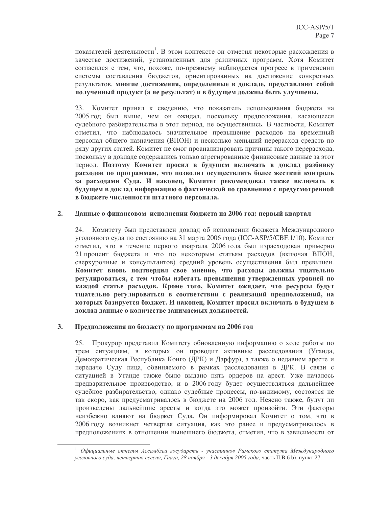показателей деятельности<sup>1</sup>. В этом контексте он отметил некоторые расхождения в качестве достижений, установленных для различных программ. Хотя Комитет согласился с тем, что, похоже, по-прежнему наблюдается прогресс в применении системы составления бюджетов, ориентированных на достижение конкретных результатов, многие достижения, определенные в докладе, представляют собой полученный продукт (а не результат) и в будущем должны быть улучшены.

Комитет принял к сведению, что показатель использования бюджета на 23. 2005 год был выше, чем он ожидал, поскольку предположения, касающееся судебного разбирательства в этот период, не осуществились. В частности, Комитет отметил, что наблюдалось значительное превышение расходов на временный персонал общего назначения (ВПОН) и несколько меньший перерасход средств по ряду других статей. Комитет не смог проанализировать причины такого перерасхода, поскольку в докладе содержались только агрегированные финансовые данные за этот период. Поэтому Комитет просил в будущем включать в доклад разбивку расходов по программам, что позволит осуществлять более жесткий контроль за расходами Суда. И наконец, Комитет рекомендовал также включать в будущем в доклад информацию о фактической по сравнению с предусмотренной в бюджете численности штатного персонала.

### $2.$ Данные о финансовом исполнении бюджета на 2006 год: первый квартал

24. Комитету был представлен доклад об исполнении бюджета Международного уголовного суда по состоянию на 31 марта 2006 года (ICC-ASP/5/CBF.1/10). Комитет отметил, что в течение первого квартала 2006 года был израсходован примерно 21 процент бюджета и что по некоторым статьям расходов (включая ВПОН, сверхурочные и консультантов) средний уровень осуществления был превышен. Комитет вновь подтвердил свое мнение, что расходы должны тщательно регулироваться, с тем чтобы избегать превышения утвержденных уровней по каждой статье расходов. Кроме того, Комитет ожидает, что ресурсы будут тщательно регулироваться в соответствии с реализаций предположений, на которых базируется бюджет. И наконец, Комитет просил включать в будущем в локлал ланные о количестве занимаемых лолжностей.

### $3.$ Предположения по бюджету по программам на 2006 год

25. Прокурор представил Комитету обновленную информацию о ходе работы по трем ситуациям, в которых он проводит активные расследования (Уганда, Демократическая Республика Конго (ДРК) и Дарфур), а также о недавнем аресте и передаче Суду лица, обвиняемого в рамках расследования в ДРК. В связи с ситуацией в Уганде также было выдано пять ордеров на арест. Уже началось предварительное производство, и в 2006 году будет осуществляться дальнейшее судебное разбирательство, однако судебные процессы, по-видимому, состоятся не так скоро, как предусматривалось в бюджете на 2006 год. Неясно также, будут ли произведены дальнейшие аресты и когда это может произойти. Эти факторы неизбежно влияют на бюджет Суда. Он информировал Комитет о том, что в 2006 году возникнет четвертая ситуация, как это ранее и предусматривалось в предположениях в отношении нынешнего бюджета, отметив, что в зависимости от

<sup>&</sup>lt;sup>1</sup> Официальные отчеты Ассамблеи государств - участников Римского статута Международного уголовного суда, четвертая сессия, Гаага, 28 ноября - 3 декабря 2005 года, часть II.B.6 b), пункт 27.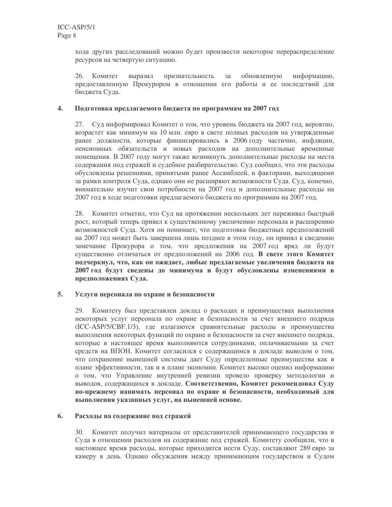хода других расследований можно будет произвести некоторое перераспределение ресурсов на четвертую ситуацию.

обновленную 26. Комитет выразил признательность  $3a$ информацию, предоставленную Прокурором в отношении его работы и ее последствий для бюджета Суда.

#### Подготовка предлагаемого бюджета по программам на 2007 год 4.

27. Суд информировал Комитет о том, что уровень бюджета на 2007 год, вероятно, возрастет как минимум на 10 млн. евро в свете полных расходов на утвержденные ранее должности, которые финансировались в 2006 году частично, инфляции, пенсионных обязательств и новых расходов на дополнительные временные помещения. В 2007 году могут также возникнуть дополнительные расходы на места содержания под стражей и судебное разбирательство. Суд сообщил, что эти расходы обусловлены решениями, принятыми ранее Ассамблеей, и факторами, выходящими за рамки контроля Суда, однако они не расширяют возможности Суда. Суд, конечно, внимательно изучит свои потребности на 2007 год и дополнительные расходы на 2007 год в ходе подготовки предлагаемого бюджета по программам на 2007 год.

28. Комитет отметил, что Суд на протяжении нескольких лет переживал быстрый рост, который теперь привел к существенному увеличению персонала и расширению возможностей Суда. Хотя он понимает, что подготовка бюджетных предположений на 2007 год может быть завершена лишь позднее в этом году, он принял к сведению замечание Прокурора о том, что предложения на 2007 год вряд ли будут существенно отличаться от предположений на 2006 год. В свете этого Комитет подчеркнул, что, как он ожидает, любые предлагаемые увеличения бюджета на 2007 год будут сведены до минимума и будут обусловлены изменениями в предположениях Суда.

### $5<sub>1</sub>$ Услуги персонала по охране и безопасности

29. Комитету был представлен доклад о расходах и преимуществах выполнения некоторых услуг персонала по охране и безопасности за счет внешнего подряда (ICC-ASP/5/CBF.1/3), где излагаются сравнительные расходы и преимущества выполнения некоторых функций по охране и безопасности за счет внешнего подряда, которые в настоящее время выполняются сотрудниками, оплачиваемыми за счет средств на ВПОН. Комитет согласился с содержащимся в докладе выводом о том, что сохранение нынешней системы дает Суду определенные преимущества как в плане эффективности, так и в плане экономии. Комитет высоко оценил информацию о том, что Управление внутренней ревизии провело проверку методологии и выводов, содержащихся в докладе. Соответственно, Комитет рекомендовал Суду по-прежнему нанимать персонал по охране и безопасности, необходимый для выполнения указанных услуг, на нынешней основе.

#### 6. Расходы на содержание под стражей

30. Комитет получил материалы от представителей принимающего государства и Суда в отношении расходов на содержание под стражей. Комитету сообщили, что в настоящее время расходы, которые приходится нести Суду, составляют 289 евро за камеру в день. Однако обсуждения между принимающим государством и Судом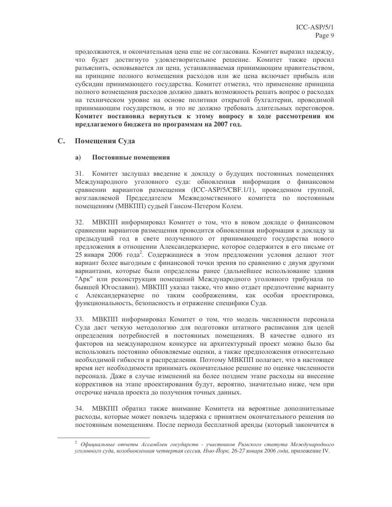продолжаются, и окончательная цена еще не согласована. Комитет выразил надежду, что будет достигнуто удовлетворительное решение. Комитет также просил разъяснить, основывается ли цена, устанавливаемая принимающим правительством, на принципе полного возмещения расходов или же цена включает прибыль или субсидии принимающего государства. Комитет отметил, что применение принципа полного возмещения расходов должно давать возможность решать вопрос о расходах на техническом уровне на основе политики открытой бухгалтерии, проводимой принимающим государством, и это не должно требовать длительных переговоров. Комитет постановил вернуться к этому вопросу в ходе рассмотрения им предлагаемого бюджета по программам на 2007 год.

### $\mathbf{C}$ . Помещения Суда

### $\mathbf{a}$ Постоянные помешения

Комитет заслушал введение к докладу о будущих постоянных помещениях 31. Международного уголовного суда: обновленная информация о финансовом сравнении вариантов размещения (ICC-ASP/5/CBF.1/1), проведенном группой, возглавляемой Председателем Межведомственного комитета по постоянным помещениям (МВКПП) судьей Гансом-Петером Колем.

МВКПП информировал Комитет о том, что в новом докладе о финансовом 32. сравнении вариантов размещения проводится обновленная информация к докладу за предыдущий год в свете полученного от принимающего государства нового предложения в отношении Александерказерне, которое содержится в его письме от 25 января 2006 года<sup>2</sup>. Содержащиеся в этом предложении условия делают этот вариант более выгодным с финансовой точки зрения по сравнению с двумя другими вариантами, которые были определены ранее (дальнейшее использование здания "Арк" или реконструкция помещений Международного уголовного трибунала по бывшей Югославии). МВКПП указал также, что явно отдает предпочтение варианту Александерказерне по таким соображениям, как особая проектировка,  $\mathbf{c}$ функциональность, безопасность и отражение специфики Суда.

33. МВКПП информировал Комитет о том, что модель численности персонала Суда даст четкую методологию для подготовки штатного расписания для целей определения потребностей в постоянных помещениях. В качестве одного из факторов на международном конкурсе на архитектурный проект можно было бы использовать постоянно обновляемые оценки, а также предположения относительно необходимой гибкости и распределения. Поэтому МВКПП полагает, что в настоящее время нет необходимости принимать окончательное решение по оценке численности персонала. Даже в случае изменений на более позднем этапе расходы на внесение коррективов на этапе проектирования будут, вероятно, значительно ниже, чем при отсрочке начала проекта до получения точных данных.

МВКПП обратил также внимание Комитета на вероятные дополнительные 34. расходы, которые может повлечь задержка с принятием окончательного решения по постоянным помещениям. После периода бесплатной аренды (который закончится в

 $2$  Официальные отчеты Ассамблеи государств - участников Римского статута Международного уголовного суда, возобновленная четвертая сессия, Нью-Йорк, 26-27 января 2006 года, приложение IV.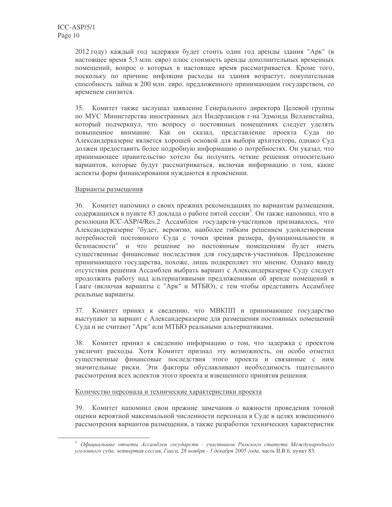2012 году) каждый год задержки будет стоить один год аренды здания "Арк" (в настоящее время 5,3 млн. евро) плюс стоимость аренды дополнительных временных помещений, вопрос о которых в настоящее время рассматривается. Кроме того, поскольку по причине инфляции расходы на здания возрастут, покупательная способность займа в 200 млн. евро, предложенного принимающим государством, со временем снизится.

35. Комитет также заслушал заявление Генерального директора Целевой группы по МУС Министерства иностранных дел Нидерландов г-на Эдмонда Велленстайна, который подчеркнул, что вопросу о постоянных помещениях следует уделять повышенное внимание. Как он сказал, представление проекта Суда по Александерказерне является хорошей основой для выбора архитектора, однако Суд должен предоставить более подробную информацию о потребностях. Он указал, что принимающее правительство хотело бы получить четкие решения относительно вариантов, которые будут рассматриваться, включая информацию о том, какие аспекты форм финансирования нуждаются в прояснении.

### Варианты размещения

36. Комитет напомнил о своих прежних рекомендациях по вариантам размещения, содержащихся в пункте 83 доклада о работе пятой сессии<sup>3</sup>. Он также напомнил, что в резолюции ICC-ASP/4/Res.2 Ассамблеи государств-участников признавалось, что Александерказерне "будет, вероятно, наиболее гибким решением удовлетворения потребностей постоянного Суда с точки зрения размера, функциональности и безопасности" и что решение по постоянным помещениям будет иметь существенные финансовые последствия для государств-участников. Предложение принимающего государства, похоже, лишь подкрепляет это мнение. Однако ввиду отсутствия решения Ассамблеи выбрать вариант с Александерказерне Суду следует продолжить работу над альтернативными предложениями об аренде помещений в Гааге (включая варианты с "Арк" и МТБЮ), с тем чтобы представить Ассамблее реальные варианты.

37. Комитет принял к сведению, что МВКПП и принимающее государство выступают за вариант с Александерказерне для размещения постоянных помещений Суда и не считают "Арк" или МТБЮ реальными альтернативами.

38. Комитет принял к сведению информацию о том, что задержка с проектом увеличит расходы. Хотя Комитет признал эту возможность, он особо отметил существенные финансовые последствия этого проекта и связанные с ним значительные риски. Эти факторы обуславливают необходимость тщательного рассмотрения всех аспектов этого проекта и взвешенного принятия решения.

### Количество персонала и технические характеристики проекта

39. Комитет напомнил свои прежние замечания о важности проведения точной оценки вероятной максимальной численности персонала в Суде в целях взвешенного рассмотрения вариантов размещения, а также разработки технических характеристик

<sup>&</sup>lt;sup>3</sup> Официальные отчеты Ассамблеи государств - участников Римского статута Международного уголовного суда, четвертая сессия, Гаага, 28 ноября - 3 декабря 2005 года, часть II.B.6, пункт 83.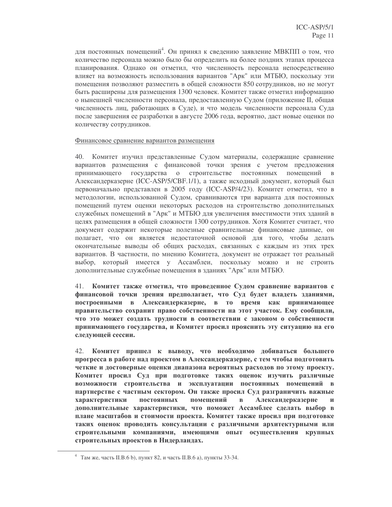для постоянных помещений<sup>4</sup>. Он принял к сведению заявление МВКПП о том, что количество персонала можно было бы определить на более поздних этапах процесса планирования. Однако он отметил, что численность персонала непосредственно влияет на возможность использования вариантов "Арк" или МТБЮ, поскольку эти помещения позволяют разместить в общей сложности 850 сотрудников, но не могут быть расширены для размещения 1300 человек. Комитет также отметил информацию о нынешней численности персонала, предоставленную Судом (приложение II, общая численность лиц, работающих в Суде), и что модель численности персонала Суда после завершения ее разработки в августе 2006 года, вероятно, даст новые оценки по количеству сотрудников.

### Финансовое сравнение вариантов размещения

40. Комитет изучил представленные Судом материалы, содержащие сравнение вариантов размещения с финансовой точки зрения с учетом предложения принимающего государства о строительстве постоянных помещений в Александерказерне (ICC-ASP/5/CBF.1/1), а также исходный документ, который был первоначально представлен в 2005 году (ICC-ASP/4/23). Комитет отметил, что в методологии, использованной Судом, сравниваются три варианта для постоянных помещений путем оценки некоторых расходов на строительство дополнительных служебных помещений в "Арк" и МТБЮ для увеличения вместимости этих зданий в целях размещения в общей сложности 1300 сотрудников. Хотя Комитет считает, что документ содержит некоторые полезные сравнительные финансовые данные, он полагает, что он является недостаточной основой для того, чтобы делать окончательные выводы об общих расходах, связанных с каждым из этих трех вариантов. В частности, по мнению Комитета, документ не отражает тот реальный выбор, который имеется у Ассамблеи, поскольку можно и не строить дополнительные служебные помещения в зданиях "Арк" или МТБЮ.

41. Комитет также отметил, что проведенное Судом сравнение вариантов с финансовой точки зрения предполагает, что Суд будет владеть зданиями, построенными в Александерказерне, в то время как принимающее правительство сохранит право собственности на этот участок. Ему сообщили, что это может создать трудности в соответствии с законом о собственности принимающего государства, и Комитет просил прояснить эту ситуацию на его следующей сессии.

Комитет пришел к выводу, что необходимо добиваться большего 42. прогресса в работе над проектом в Александерказерне, с тем чтобы подготовить четкие и достоверные оценки диапазона вероятных расходов по этому проекту. Комитет просил Суд при подготовке таких оценок изучить различные возможности строительства и эксплуатации постоянных помещений в партнерстве с частным сектором. Он также просил Суд разграничить важные характеристики постоянных помещений Александерказерне  $\mathbf{B}$  $\mathbf{M}$ дополнительные характеристики, что поможет Ассамблее сделать выбор в плане масштабов и стоимости проекта. Комитет также просил при подготовке таких оценок проводить консультации с различными архитектурными или строительными компаниями, имеющими опыт осуществления крупных строительных проектов в Нидерландах.

<sup>&</sup>lt;sup>4</sup> Там же, часть II.B.6 b), пункт 82, и часть II.B.6 a), пункты 33-34.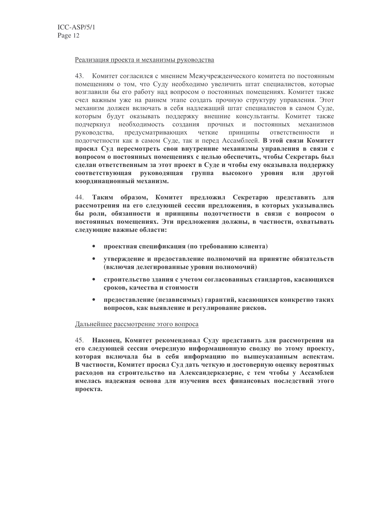### Реализация проекта и механизмы руководства

43. Комитет согласился с мнением Межучрежденческого комитета по постоянным помещениям о том, что Суду необходимо увеличить штат специалистов, которые возглавили бы его работу над вопросом о постоянных помещениях. Комитет также счел важным уже на раннем этапе создать прочную структуру управления. Этот механизм должен включать в себя надлежащий штат специалистов в самом Суде, которым будут оказывать поддержку внешние консультанты. Комитет также подчеркнул необходимость создания прочных и постоянных механизмов предусматривающих четкие принципы ответственности руководства,  $\overline{M}$ подотчетности как в самом Суде, так и перед Ассамблеей. В этой связи Комитет просил Суд пересмотреть свои внутренние механизмы управления в связи с вопросом о постоянных помещениях с целью обеспечить, чтобы Секретарь был сделан ответственным за этот проект в Суде и чтобы ему оказывала поддержку соответствующая руководящая группа высокого уровня или другой координационный механизм.

44. Таким образом, Комитет предложил Секретарю представить для рассмотрения на его следующей сессии предложения, в которых указывались бы роли, обязанности и принципы подотчетности в связи с вопросом о постоянных помещениях. Эти предложения должны, в частности, охватывать следующие важные области:

- проектная спецификация (по требованию клиента)
- утверждение и предоставление полномочий на принятие обязательств (включая делегированные уровни полномочий)
- $\bullet$ строительство здания с учетом согласованных стандартов, касающихся сроков, качества и стоимости
- $\bullet$ предоставление (независимых) гарантий, касающихся конкретно таких вопросов, как выявление и регулирование рисков.

### Дальнейшее рассмотрение этого вопроса

45. Наконец, Комитет рекомендовал Суду представить для рассмотрения на его следующей сессии очередную информационную сводку по этому проекту, которая включала бы в себя информацию по вышеуказанным аспектам. В частности, Комитет просил Суд дать четкую и достоверную оценку вероятных расходов на строительство на Александерказерне, с тем чтобы у Ассамблеи имелась надежная основа для изучения всех финансовых последствий этого проекта.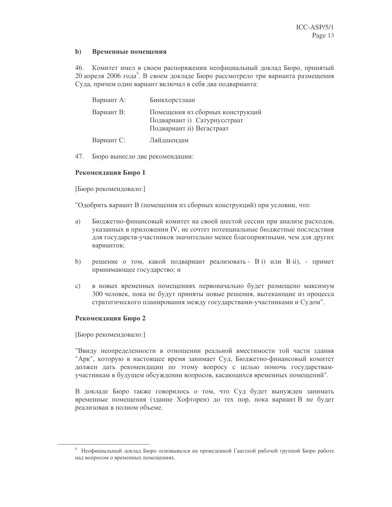#### $\mathbf{b}$ Временные помещения

46. Комитет имел в своем распоряжении неофициальный доклад Бюро, принятый 20 апреля 2006 года<sup>3</sup>. В своем докладе Бюро рассмотрело три варианта размещения Суда, причем один вариант включал в себя два подварианта:

| Вариант А: | Бинкхорстлаан                                                                                 |
|------------|-----------------------------------------------------------------------------------------------|
| Вариант В: | Помещения из сборных конструкций<br>Подвариант і) Сатурнусстраат<br>Подвариант іі) Вегастраат |
| Вариант С: | Ляйдшендам                                                                                    |

47. Бюро вынесло две рекомендации:

### Рекомендация Бюро 1

[Бюро рекомендовало:]

"Одобрить вариант В (помещения из сборных конструкций) при условии, что:

- Бюджетно-финансовый комитет на своей шестой сессии при анализе расходов, a) указанных в приложении IV, не сочтет потенциальные бюджетные последствия для государств-участников значительно менее благоприятными, чем для других вариантов;
- решение о том, какой подвариант реализовать В i) или В ii), примет  $b)$ принимающее государство; и
- в новых временных помещениях первоначально будет размещено максимум  $c)$ 300 человек, пока не будут приняты новые решения, вытекающие из процесса стратегического планирования между государствами-участниками и Судом".

### Рекомендация Бюро 2

[Бюро рекомендовало:]

"Ввиду неопределенности в отношении реальной вместимости той части здания "Арк", которую в настоящее время занимает Суд, Бюджетно-финансовый комитет должен дать рекомендации по этому вопросу с целью помочь государствамучастникам в будущем обсуждении вопросов, касающихся временных помещений".

В докладе Бюро также говорилось о том, что Суд будет вынужден занимать временные помещения (здание Хофторен) до тех пор, пока вариант В не будет реализован в полном объеме.

<sup>5</sup> Неофициальный доклад Бюро основывался на проведенной Гаагской рабочей группой Бюро работе над вопросом о временных помещениях.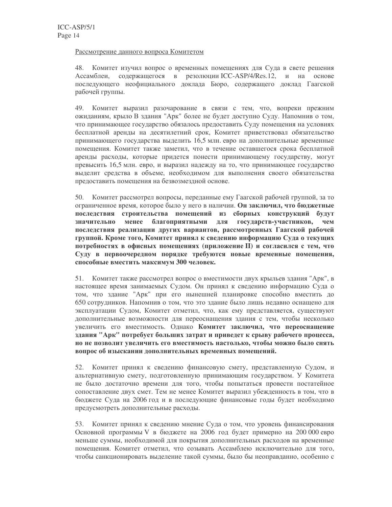### Рассмотрение данного вопроса Комитетом

48. Комитет изучил вопрос о временных помещениях для Суда в свете решения содержащегося в резолюции ICC-ASP/4/Res.12, и на основе Ассамблеи, последующего неофициального доклада Бюро, содержащего доклад Гаагской рабочей группы.

49. Комитет выразил разочарование в связи с тем, что, вопреки прежним ожиданиям, крыло В здания "Арк" более не будет доступно Суду. Напомнив о том, что принимающее государство обязалось предоставить Суду помещения на условиях бесплатной аренды на десятилетний срок, Комитет приветствовал обязательство принимающего государства выделить 16,5 млн. евро на дополнительные временные помещения. Комитет также заметил, что в течение оставшегося срока бесплатной аренды расходы, которые придется понести принимающему государству, могут превысить 16,5 млн. евро, и выразил надежду на то, что принимающее государство выделит средства в объеме, необходимом для выполнения своего обязательства предоставить помешения на безвозмездной основе.

Комитет рассмотрел вопросы, переданные ему Гаагской рабочей группой, за то 50. ограниченное время, которое было у него в наличии. Он заключил, что бюджетные последствия строительства помещений из сборных конструкций будут благоприятными для государств-участников, значительно менее чем последствия реализации других вариантов, рассмотренных Гаагской рабочей группой. Кроме того, Комитет принял к сведению информацию Суда о текущих потребностях в офисных помещениях (приложение II) и согласился с тем, что Суду в первоочередном порядке требуются новые временные помещения, способные вместить максимум 300 человек.

51. Комитет также рассмотрел вопрос о вместимости двух крыльев здания "Арк", в настоящее время занимаемых Судом. Он принял к сведению информацию Суда о том, что здание "Арк" при его нынешней планировке способно вместить до 650 сотрудников. Напомнив о том, что это здание было лишь недавно оснащено для эксплуатации Судом, Комитет отметил, что, как ему представляется, существуют дополнительные возможности для переоснащения здания с тем, чтобы несколько увеличить его вместимость. Однако Комитет заключил, что переоснащение здания "Арк" потребует больших затрат и приведет к срыву рабочего процесса, но не позволит увеличить его вместимость настолько, чтобы можно было снять вопрос об изыскании дополнительных временных помещений.

52. Комитет принял к сведению финансовую смету, представленную Судом, и альтернативную смету, подготовленную принимающим государством. У Комитета не было достаточно времени для того, чтобы попытаться провести постатейное сопоставление двух смет. Тем не менее Комитет выразил убежденность в том, что в бюджете Суда на 2006 год и в последующие финансовые годы будет необходимо предусмотреть дополнительные расходы.

53. Комитет принял к сведению мнение Суда о том, что уровень финансирования Основной программы V в бюджете на 2006 год будет примерно на 200 000 евро меньше суммы, необходимой для покрытия дополнительных расходов на временные помещения. Комитет отметил, что созывать Ассамблею исключительно для того, чтобы санкционировать выделение такой суммы, было бы неоправданно, особенно с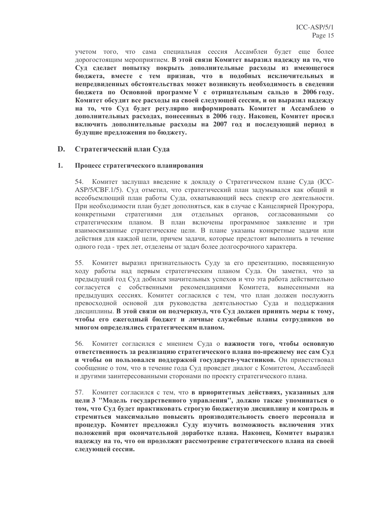учетом того, что сама специальная сессия Ассамблеи будет еще более дорогостоящим мероприятием. В этой связи Комитет выразил надежду на то, что Суд сделает попытку покрыть дополнительные расходы из имеющегося бюджета, вместе с тем признав, что в подобных исключительных и непредвиденных обстоятельствах может возникнуть необходимость в сведении бюджета по Основной программе V с отрицательным сальдо в 2006 году. Комитет обсудит все расходы на своей следующей сессии, и он выразил надежду на то, что Суд будет регулярно информировать Комитет и Ассамблею о дополнительных расходах, понесенных в 2006 году. Наконец, Комитет просил включить дополнительные расходы на 2007 год и последующий период в будущие предложения по бюджету.

### D. Стратегический план Суда

### 1. Процесс стратегического планирования

54. Комитет заслушал введение к докладу о Стратегическом плане Суда (ICC-ASP/5/CBF.1/5). Суд отметил, что стратегический план задумывался как общий и всеобъемлющий план работы Суда, охватывающий весь спектр его деятельности. При необходимости план будет дополняться, как в случае с Канцелярией Прокурора, конкретными стратегиями ДЛЯ отдельных органов, согласованными  $\rm{co}$ стратегическим планом. В план включены программное заявление и три взаимосвязанные стратегические цели. В плане указаны конкретные задачи или действия для каждой цели, причем задачи, которые предстоит выполнить в течение одного года - трех лет, отделены от задач более долгосрочного характера.

55. Комитет выразил признательность Суду за его презентацию, посвященную ходу работы над первым стратегическим планом Суда. Он заметил, что за предыдущий год Суд добился значительных успехов и что эта работа действительно согласуется с собственными рекомендациями Комитета, вынесенными на предыдущих сессиях. Комитет согласился с тем, что план должен послужить превосходной основой для руководства деятельностью Суда и поддержания дисциплины. В этой связи он подчеркнул, что Суд должен принять меры к тому, чтобы его ежегодный бюджет и личные служебные планы сотрудников во многом определялись стратегическим планом.

56. Комитет согласился с мнением Суда о важности того, чтобы основную ответственность за реализацию стратегического плана по-прежнему нес сам Суд и чтобы он пользовался поддержкой государств-участников. Он приветствовал сообщение о том, что в течение года Суд проведет диалог с Комитетом, Ассамблеей и другими заинтересованными сторонами по проекту стратегического плана.

57. Комитет согласился с тем, что в приоритетных действиях, указанных для цели 3 "Модель государственного управления", должно также упоминаться о том, что Суд будет практиковать строгую бюджетную дисциплину и контроль и стремиться максимально повысить производительность своего персонала и процедур. Комитет предложил Суду изучить возможность включения этих положений при окончательной доработке плана. Наконец, Комитет выразил надежду на то, что он продолжит рассмотрение стратегического плана на своей следующей сессии.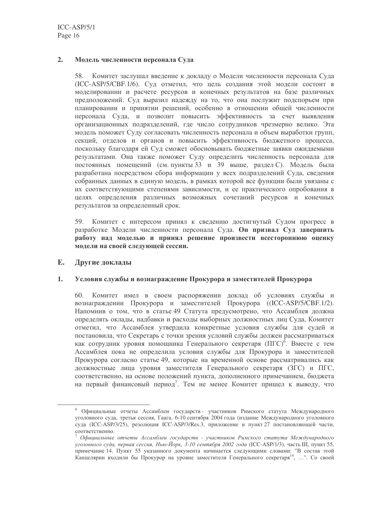### $2.$ Модель численности персонала Суда

58. Комитет заслушал введение к докладу о Модели численности персонала Суда (ICC-ASP/5/CBF.1/6). Суд отметил, что цель создания этой модели состоит в моделировании и расчете ресурсов и конечных результатов на базе различных предположений. Суд выразил надежду на то, что она послужит подспорьем при планировании и принятии решений, особенно в отношении общей численности персонала Суда, и позволит повысить эффективность за счет выявления организационных подразделений, где число сотрудников чрезмерно велико. Эта модель поможет Суду согласовать численность персонала и объем выработки групп, секций, отделов и органов и повысить эффективность бюджетного процесса, поскольку благодаря ей Суд сможет обосновывать бюджетные заявки ожидаемыми результатами. Она также поможет Суду определить численность персонала для постоянных помещений (см. пункты 33 и 39 выше, раздел С). Модель была разработана посредством сбора информации у всех подразделений Суда, сведения собранных данных в единую модель, в рамках которой все функции были увязаны с их соответствующими степенями зависимости, и ее практического опробования в целях определения различных возможных сочетаний ресурсов и конечных результатов за определенный срок.

Комитет с интересом принял к сведению достигнутый Судом прогресс в 59. разработке Модели численности персонала Суда. Он призвал Суд завершить работу над моделью и принял решение произвести всестороннюю оценку модели на своей следующей сессии.

### E. Другие доклады

### 1. Условия службы и вознаграждение Прокурора и заместителей Прокурора

60. Комитет имел в своем распоряжении доклад об условиях службы и вознаграждении Прокурора и заместителей Прокурора ((ICC-ASP/5/CBF.1/2). Напомнив о том, что в статье 49 Статута предусмотрено, что Ассамблея должна определять оклады, надбавки и расходы выборных должностных лиц Суда, Комитет отметил, что Ассамблея утвердила конкретные условия службы для судей и постановила, что Секретарь с точки зрения условий службы должен рассматриваться как сотрудник уровня помощника Генерального секретаря (ПГС)<sup>6</sup>. Вместе с тем Ассамблея пока не определила условия службы для Прокурора и заместителей Прокурора согласно статье 49, которые на временной основе рассматривались как должностные лица уровня заместителя Генерального секретаря (ЗГС) и ПГС, соответственно, на основе положений пункта, дополненного примечанием, бюджета на первый финансовый период<sup>7</sup>. Тем не менее Комитет пришел к выводу, что

<sup>6</sup> Официальные отчеты Ассамблеи государств - участников Римского статута Международного уголовного суда, третья сессия, Гаага, 6-10 сентября 2004 года (издание Международного уголовного суда (ICC-ASP/3/25), резолюция ICC-ASP/3/Res.3, приложение и пункт 27 постановляющей части, соответственно.

Официальные отчеты Ассамблеи государств - участников Римского статута Международного уголовного суда, первая сессия, Нью-Йорк, 3-10 сентября 2002 года (ICC-ASP/1/3), часть III, пункт 55, примечание 14. Пункт 55 указанного документа начинается следующими словами: "В состав этой Канцелярии входили бы Прокурор на уровне заместителя Генерального секретаря<sup>14</sup>, ...". Со своей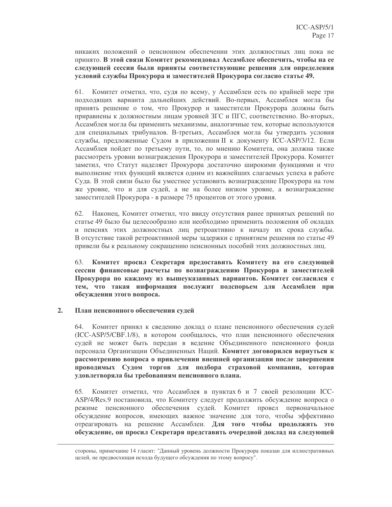никаких положений о пенсионном обеспечении этих должностных лиц пока не принято. В этой связи Комитет рекомендовал Ассамблее обеспечить, чтобы на ее следующей сессии были приняты соответствующие решения для определения условий службы Прокурора и заместителей Прокурора согласно статье 49.

61. Комитет отметил, что, судя по всему, у Ассамблеи есть по крайней мере три подходящих варианта дальнейших действий. Во-первых, Ассамблея могла бы принять решение о том, что Прокурор и заместители Прокурора должны быть приравнены к должностным лицам уровней ЗГС и ПГС, соответственно. Во-вторых, Ассамблея могла бы применить механизмы, аналогичные тем, которые используются для специальных трибуналов. В-третьих, Ассамблея могла бы утвердить условия службы, предложенные Судом в приложении II к документу ICC-ASP/3/12. Если Ассамблея пойдет по третьему пути, то, по мнению Комитета, она должна также рассмотреть уровни вознаграждения Прокурора и заместителей Прокурора. Комитет заметил, что Статут наделяет Прокурора достаточно широкими функциями и что выполнение этих функций является одним из важнейших слагаемых успеха в работе Суда. В этой связи было бы уместнее установить вознаграждение Прокурора на том же уровне, что и для судей, а не на более низком уровне, а вознаграждение заместителей Прокурора - в размере 75 процентов от этого уровня.

62. Наконец, Комитет отметил, что ввиду отсутствия ранее принятых решений по статье 49 было бы целесообразно или необходимо применить положения об окладах и пенсиях этих должностных лиц ретроактивно к началу их срока службы. В отсутствие такой ретроактивной меры задержки с принятием решения по статье 49 привели бы к реальному сокращению пенсионных пособий этих должностных лиц.

Комитет просил Секретаря предоставить Комитету на его следующей 63. сессии финансовые расчеты по вознаграждению Прокурора и заместителей Прокурора по каждому из вышеуказанных вариантов. Комитет согласился с тем, что такая информация послужит подспорьем для Ассамблеи при обсуждении этого вопроса.

### $2.$ План пенсионного обеспечения судей

64. Комитет принял к сведению доклад о плане пенсионного обеспечения судей (ICC-ASP/5/CBF.1/8), в котором сообщалось, что план пенсионного обеспечения судей не может быть передан в ведение Объединенного пенсионного фонда персонала Организации Объединенных Наций. Комитет договорился вернуться к рассмотрению вопроса о привлечении внешней организации после завершения проводимых Судом торгов для подбора страховой компании, которая удовлетворяла бы требованиям пенсионного плана.

Комитет отметил, что Ассамблея в пунктах 6 и 7 своей резолюции ICC-65. ASP/4/Res.9 постановила, что Комитету следует продолжить обсуждение вопроса о режиме пенсионного обеспечения судей. Комитет провел первоначальное обсуждение вопросов, имеющих важное значение для того, чтобы эффективно отреагировать на решение Ассамблеи. Для того чтобы продолжить это обсуждение, он просил Секретаря представить очередной доклад на следующей

стороны, примечание 14 гласит: "Данный уровень должности Прокурора показан для иллюстративных целей, не предвосхищая исхода будущего обсуждения по этому вопросу".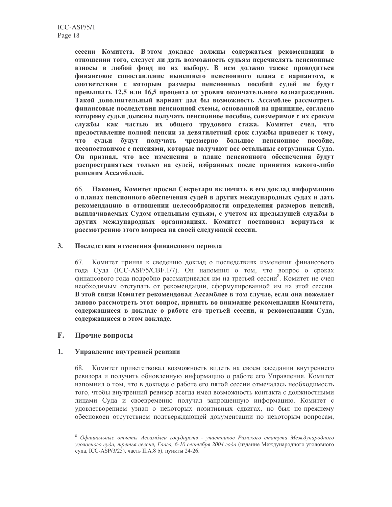сессии Комитета. В этом докладе должны содержаться рекомендации в отношении того, следует ли дать возможность судьям перечислять пенсионные взносы в любой фонд по их выбору. В нем должно также проводиться финансовое сопоставление нынешнего пенсионного плана с вариантом, в соответствии с которым размеры пенсионных пособий судей не будут превышать 12,5 или 16,5 процента от уровня окончательного вознаграждения. Такой дополнительный вариант дал бы возможность Ассамблее рассмотреть финансовые последствия пенсионной схемы, основанной на принципе, согласно которому судьи должны получать пенсионное пособие, соизмеримое с их сроком службы как частью их общего трудового стажа. Комитет счел, что предоставление полной пенсии за девятилетний срок службы приведет к тому, что судьи будут получать чрезмерно большое пенсионное пособие, несопоставимое с пенсиями, которые получают все остальные сотрудники Суда. Он признал, что все изменения в плане пенсионного обеспечения будут распространяться только на судей, избранных после принятия какого-либо решения Ассамблеей.

66. Наконец, Комитет просил Секретаря включить в его доклад информацию о планах пенсионного обеспечения судей в других международных судах и дать рекомендацию в отношении целесообразности определения размеров пенсий, выплачиваемых Судом отдельным судьям, с учетом их предыдущей службы в других международных организациях. Комитет постановил вернуться к рассмотрению этого вопроса на своей следующей сессии.

### $3.$ Последствия изменения финансового периода

67. Комитет принял к сведению доклад о последствиях изменения финансового года Суда (ICC-ASP/5/CBF.1/7). Он напомнил о том, что вопрос о сроках финансового года подробно рассматривался им на третьей сессии<sup>8</sup>. Комитет не счел необходимым отступать от рекомендации, сформулированной им на этой сессии. В этой связи Комитет рекомендовал Ассамблее в том случае, если она пожелает заново рассмотреть этот вопрос, принять во внимание рекомендации Комитета, содержащиеся в докладе о работе его третьей сессии, и рекомендации Суда, содержащиеся в этом докладе.

### F. Прочие вопросы

### $1.$ Управление внутренней ревизии

68. Комитет приветствовал возможность видеть на своем заседании внутреннего ревизора и получить обновленную информацию о работе его Управления. Комитет напомнил о том, что в докладе о работе его пятой сессии отмечалась необходимость того, чтобы внутренний ревизор всегда имел возможность контакта с должностными лицами Суда и своевременно получал запрошенную информацию. Комитет с удовлетворением узнал о некоторых позитивных сдвигах, но был по-прежнему обеспокоен отсутствием подтверждающей документации по некоторым вопросам,

<sup>&</sup>lt;sup>8</sup> Официальные отчеты Ассамблеи государств - участников Римского статута Международного уголовного суда, третья сессия, Гаага, 6-10 сентября 2004 года (издание Международного уголовного суда, ICC-ASP/3/25), часть II.A.8 b), пункты 24-26.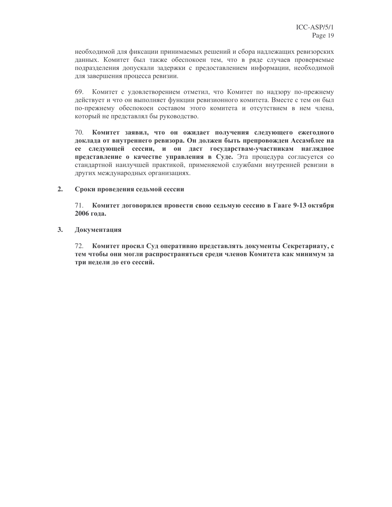необходимой для фиксации принимаемых решений и сбора надлежащих ревизорских данных. Комитет был также обеспокоен тем, что в ряде случаев проверяемые подразделения допускали задержки с предоставлением информации, необходимой для завершения процесса ревизии.

69. Комитет с удовлетворением отметил, что Комитет по надзору по-прежнему действует и что он выполняет функции ревизионного комитета. Вместе с тем он был по-прежнему обеспокоен составом этого комитета и отсутствием в нем члена, который не представлял бы руководство.

70. Комитет заявил, что он ожидает получения следующего ежегодного доклада от внутреннего ревизора. Он должен быть препровожден Ассамблее на ее следующей сессии, и он даст государствам-участникам наглядное представление о качестве управления в Суде. Эта процедура согласуется со стандартной наилучшей практикой, применяемой службами внутренней ревизии в других международных организациях.

#### $2.$ Сроки проведения седьмой сессии

71. Комитет договорился провести свою седьмую сессию в Гааге 9-13 октября 2006 гола.

### $3.$ Документация

72. Комитет просил Суд оперативно представлять документы Секретариату, с тем чтобы они могли распространяться среди членов Комитета как минимум за три недели до его сессий.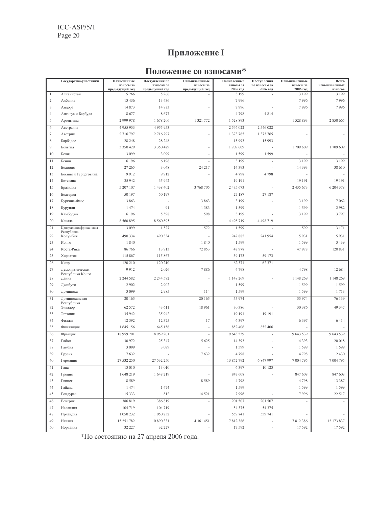$ICC-ASP/5/1$ Page 20

# Приложение I

## Положение со взносами\*

|                | Государства-участники               | Начисленные                 | Поступления по               | Невыплаченные               | Начисленные           | Поступления               | Невыплаченные         | Всего                    |
|----------------|-------------------------------------|-----------------------------|------------------------------|-----------------------------|-----------------------|---------------------------|-----------------------|--------------------------|
|                |                                     | взносы за<br>предыдущий год | взносам за<br>предыдущий год | взносы за<br>предыдущий год | взносы за<br>2006 год | по взносам за<br>2006 год | взносы за<br>2006 год | невыплаченных<br>взносов |
| $\mathbf{1}$   | Афганистан                          | 5 2 6 6                     | 5 2 6 6                      |                             | 3 1 9 9               | L,                        | 3 1 9 9               | 3 1 9 9                  |
| $\sqrt{2}$     | Албания                             | 13 4 36                     | 13 4 36                      |                             | 7996                  |                           | 7996                  | 7996                     |
| $\mathfrak{Z}$ | Андора                              | 14 873                      | 14 873                       | $\overline{\phantom{a}}$    | 7996                  |                           | 7996                  | 7996                     |
| $\overline{4}$ | Антигуа и Барбуда                   | 8677                        | 8677                         | J.                          | 4798                  | 4 8 1 4                   |                       |                          |
| 5              | Аргентина                           | 2 999 978                   | 1 678 206                    | 1 321 772                   | 1528893               |                           | 1528893               | 2 850 665                |
| 6              | Австралия                           | 4 9 5 5 9 5 3               | 4 9 5 5 9 5 3                |                             | 2 546 022             | 2 546 022                 |                       |                          |
| $\tau$         | Австрия                             | 2 716 797                   | 2 716 797                    |                             | 1 373 765             | 1 373 765                 |                       |                          |
| 8              | Барбадос                            | 28 24 8                     | 28 24 8                      | ÷,                          | 15 993                | 15 993                    |                       |                          |
| 9              | Бельгия                             | 3 3 5 0 4 2 9               | 3 3 5 0 4 2 9                |                             | 1709 609              |                           | 1709 609              | 1709 609                 |
| 10             | Белиз                               | 3 0 9 9                     | 3 0 9 9                      | $\frac{1}{2}$               | 1 5 9 9               | 1599                      |                       |                          |
| 11             | Бенин                               | 6 1 9 6                     | 6 1 9 6                      | ÷,                          | 3 1 9 9               |                           | 3 1 9 9               | 3 1 9 9                  |
| 12             | Боливия                             | 27 265                      | 3 0 4 8                      | 24 217                      | 14 3 9 3              |                           | 14 3 9 3              | 38 610                   |
| 13             | Босния и Герцеговина                | 9912                        | 9912                         |                             | 4798                  | 4798                      |                       |                          |
| 14             | Ботсвана                            | 35 942                      | 35 942                       |                             | 19 19 1               |                           | 19 19 1               | 19 19 1                  |
| 15             | Бразилия                            | 5 207 107                   | 1 438 402                    | 3 768 705                   | 2 435 673             | J.                        | 2 435 673             | 6 204 378                |
| 16             | Болгария                            | 50 197                      | 50 197                       | ÷,                          | 27 187                | 27 187                    | ÷,                    |                          |
| 17             | Буркина-Фасо                        | 3863                        |                              | 3 8 6 3                     | 3 1 9 9               |                           | 3 1 9 9               | 7 0 6 2                  |
| 18             | Бурунди                             | 1 4 7 4                     | 91                           | 1 3 8 3                     | 1 5 9 9               |                           | 1 5 9 9               | 2982                     |
| 19             | Камбоджа                            | 6 1 9 6                     | 5 5 9 8                      | 598                         | 3 1 9 9               |                           | 3 1 9 9               | 3797                     |
| 20             |                                     | 8 560 895                   | 8 560 895                    |                             | 4 4 9 8 7 1 9         | 4 4 9 8 7 1 9             |                       |                          |
|                | Канада                              |                             |                              |                             |                       |                           |                       |                          |
| 21             | Центральноафриканская<br>Республика | 3 0 9 9                     | 1527                         | 1572                        | 1599                  | ÷,                        | 1599                  | 3 1 7 1                  |
| 22             | Колумбия                            | 490 334                     | 490 334                      | ÷,                          | 247 885               | 241 954                   | 5931                  | 5931                     |
| 23             | Конго                               | 1840                        |                              | 1840                        | 1 5 9 9               |                           | 1 5 9 9               | 3 4 3 9                  |
| 24             | Коста-Рика                          | 86 766                      | 13 913                       | 72 853                      | 47 978                |                           | 47 978                | 120 831                  |
| 25             | Хорватия                            | 115 867                     | 115 867                      | ÷,                          | 59 173                | 59 173                    |                       |                          |
| 26             | Кипр                                | 120 210                     | 120 210                      | L,                          | 62 371                | 62 371                    |                       |                          |
| 27             | Демократическая                     | 9912                        | 2026                         | 7886                        | 4798                  |                           | 4798                  | 12 684                   |
| 28             | Республика Конго<br>Дания           | 2 2 4 5 8 2                 | 2 2 4 5 8 2                  | ÷,                          | 1 148 269             |                           | 1 148 269             | 1 148 269                |
| 29             | Джибути                             | 2 9 0 2                     | 2 9 0 2                      |                             | 1 5 9 9               |                           | 1 5 9 9               | 1599                     |
| 30             | Доминика                            | 3 0 9 9                     | 2985                         | 114                         | 1 5 9 9               |                           | 1 5 9 9               | 1713                     |
| 31             | Доминиканская                       | 20 165                      |                              | 20 165                      | 55 974                |                           | 55 974                | 76 139                   |
| 32             | Республика                          |                             |                              | 18 961                      |                       |                           |                       | 49 347                   |
| 33             | Эквадор                             | 62 572<br>35 942            | 43 611                       |                             | 30 386                | 19 19 1                   | 30 386                |                          |
|                | Эстония                             |                             | 35 942                       |                             | 19 19 1               |                           |                       |                          |
| 34             | Фиджи                               | 12 3 9 2                    | 12 375                       | 17                          | 6 3 9 7<br>852 406    |                           | 6 3 9 7               | 6414                     |
| 35             | <b>ФИНЛЯНДИЯ</b>                    | 1 645 156                   | 1 645 156                    | ÷,                          |                       | 852 406                   |                       |                          |
| 36             | Франция                             | 18 959 201                  | 18 959 201                   |                             | 9 643 539             |                           | 9 643 539             | 9 643 539                |
| 37             | Габон                               | 30 972                      | 25 347                       | 5 6 2 5                     | 14 3 9 3              |                           | 14 3 9 3              | 20 018                   |
| 38             | Гамбия                              | 3 0 9 9                     | 3 0 9 9                      | $\overline{a}$              | 1599                  |                           | 1 5 9 9               | 1599                     |
| 39             | Грузия                              | 7632                        |                              | 7632                        | 4798                  |                           | 4798                  | 12 430                   |
| 40             | Германия                            | 27 532 250                  | 27 532 250                   | ÷,                          | 13 852 792            | 6 847 997                 | 7 004 795             | 7 004 795                |
| 41             | Гана                                | 13 010                      | 13 010                       | $\overline{a}$              | 6 3 9 7               | 10 123                    |                       |                          |
| 42             | Греция                              | 1 648 219                   | 1648 219                     | ÷                           | 847 608               |                           | 847 608               | 847 608                  |
| 43             | Гвинея                              | 8589                        | ÷,                           | 8589                        | 4798                  |                           | 4798                  | 13 387                   |
| 44             | Гайана                              | 1 474                       | 1474                         |                             | 1 5 9 9               |                           | 1599                  | 1599                     |
| 45             | Гондурас                            | 15 3 3 3                    | 812                          | 14 5 21                     | 7996                  |                           | 7996                  | 22 5 17                  |
| 46             | Венгрия                             | 386 819                     | 386 819                      | $\overline{\phantom{a}}$    | 201 507               | 201 507                   |                       |                          |
| 47             | Исландия                            | 104 719                     | 104 719                      |                             | 54 375                | 54 37 5                   |                       |                          |
| 48             | Ирландия                            | 1 050 232                   | 1 050 232                    |                             | 559 741               | 559 741                   |                       |                          |
| 49             | Италия                              | 15 251 782                  | 10 890 331                   | 4 3 6 1 4 5 1               | 7812386               |                           | 7812386               | 12 173 837               |
| 50             | Иордания                            | 32 227                      | 32 227                       |                             | 17 592                |                           | 17 592                | 17 592                   |

\*По состоянию на 27 апреля 2006 года.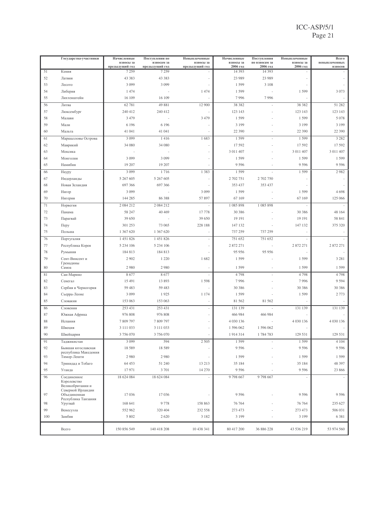|        | Государства-участники                 | Начисленные<br>взносы за  | Поступления по<br>взносам за | Невыплаченные<br>взносы за | Начисленные<br>взносы за | Поступления<br>по взносам за | Невыплаченные<br>взносы за | Всего<br>невыплаченных |
|--------|---------------------------------------|---------------------------|------------------------------|----------------------------|--------------------------|------------------------------|----------------------------|------------------------|
| 51     | Кения                                 | предыдущий год<br>7 2 5 9 | предыдущий год<br>7 2 5 9    | предыдущий год             | 2006 год<br>14 3 9 3     | 2006 год<br>14 3 9 3         | 2006 год                   | взносов                |
| 52     | Латвия                                | 43 383                    | 43 383                       |                            | 23 989                   | 23 989                       |                            |                        |
| 53     | Лесото                                | 3 0 9 9                   | 3 0 9 9                      |                            | 1599                     | 3 1 0 8                      |                            |                        |
| 54     | Либерия                               | 1474                      |                              | 1474                       | 1599                     |                              | 1 5 9 9                    | 3 0 7 3                |
| 55     | Лихтенштейн                           | 16 109                    | 16 109                       |                            | 7996                     | 7996                         |                            |                        |
| 56     | Литва                                 | 62 781                    | 49 881                       | 12 900                     | 38 382                   |                              | 38 382                     | 51 282                 |
| 57     | Люксембург                            | 240 412                   | 240 412                      |                            | 123 143                  |                              | 123 143                    | 123 143                |
| 58     | Малави                                | 3 4 7 9                   |                              | 3 4 7 9                    | 1599                     |                              | 1599                       | 5 0 7 8                |
| 59     | Мали                                  | 6 1 9 6                   | 6 1 9 6                      |                            | 3 1 9 9                  |                              | 3 1 9 9                    | 3 1 9 9                |
| 60     | Мальта                                | 41 041                    | 41 041                       |                            | 22 390                   |                              | 22 390                     | 22 390                 |
| 61     | Маршалловы Острова                    | 3 0 9 9                   | 1416                         | 1683                       | 1599                     |                              | 1599                       | 3 2 8 2                |
| 62     | Маврикий                              | 34 080                    | 34 080                       |                            | 17 592                   |                              | 17 592                     | 17 592                 |
| 63     | Мексика                               |                           |                              |                            | 3 011 407                |                              | 3 011 407                  | 3 011 407              |
| 64     | Монголия                              | 3 0 9 9                   | 3 0 9 9                      |                            | 1599                     |                              | 1599                       | 1599                   |
| 65     | Намибия                               | 19 207                    | 19 207                       |                            | 9 5 9 6                  |                              | 9596                       | 9596                   |
| 66     | Haypy                                 | 3 0 9 9                   | 1716                         | 1 3 8 3                    | 1599                     |                              | 1599                       | 2982                   |
| 67     | Нидерланды                            | 5 267 605                 | 5 267 605                    |                            | 2 702 751                | 2 702 750                    |                            |                        |
| 68     | Новая Зеландия                        | 697 366                   | 697 366                      |                            | 353 437                  | 353 437                      |                            |                        |
| 69     | Нигер                                 | 3 0 9 9                   |                              | 3 0 9 9                    | 1599                     |                              | 1599                       | 4698                   |
| $70\,$ | Нигерия                               | 144 285                   | 86 388                       | 57 897                     | 67 169                   |                              | 67 169                     | 125 066                |
| 71     | Норвегия                              | 2 084 212                 | 2 084 212                    |                            | 1 085 898                | 1 085 898                    |                            |                        |
| 72     | Панама                                | 58 247                    | 40 4 69                      | 17778                      | 30 38 6                  |                              | 30 386                     | 48 164                 |
| 73     | Парагвай                              | 39 650                    |                              | 39 650                     | 19 19 1                  |                              | 19 19 1                    | 58 841                 |
| 74     | Перу                                  | 301 253                   | 73 065                       | 228 188                    | 147 132                  |                              | 147 132                    | 375 320                |
| 75     | Польша                                | 1 367 620                 | 1 367 620                    |                            | 737 259                  | 737 259                      |                            |                        |
| 76     | Португалия                            | 1 451 826                 | 1 451 826                    |                            | 751 652                  | 751 652                      |                            |                        |
| 77     | Республика Корея                      | 5 234 106                 | 5 234 106                    |                            | 2 872 271                |                              | 2 872 271                  | 2 872 271              |
| 78     | Румыния                               | 184 813                   | 184 813                      |                            | 95 956                   | 95 956                       |                            |                        |
| 79     | Сент-Винсент и                        | 2 9 0 2                   | 1 2 2 0                      | 1682                       | 1599                     |                              | 1599                       | 3 2 8 1                |
| 80     | Гренадины<br>Самоа                    | 2980                      | 2980                         |                            | 1599                     |                              | 1599                       | 1599                   |
| 81     | Сан-Марино                            | 8677                      | 8677                         |                            | 4798                     |                              | 4798                       | 4798                   |
| 82     | Сенегал                               | 15 491                    | 13 893                       | 1598                       | 7996                     |                              | 7996                       | 9594                   |
| 83     | Сербия и Черногория                   | 59 483                    | 59 483                       |                            | 30 386                   |                              | 30 386                     | 30 386                 |
| 84     | Сьерра-Леоне                          | 3 0 9 9                   | 1925                         | 1 1 7 4                    | 1599                     |                              | 1599                       | 2 7 7 3                |
| 85     | Словакия                              | 153 063                   | 153 063                      | $\frac{1}{2}$              | 81 562                   | 81 562                       |                            |                        |
| 86     | Словения                              | 253 431                   | 253 431                      |                            | 131 139                  |                              | 131 139                    | 131 139                |
| 87     | Южная Африка                          | 976 808                   | 976 808                      |                            | 466 984                  | 466 984                      |                            |                        |
| 88     | Испания                               | 7809797                   | 7 809 797                    |                            | 4 0 30 1 36              |                              | 4 0 30 1 36                | 4 0 30 1 36            |
| 89     | Швеция                                | 3 111 033                 | 3 111 033                    |                            | 1 596 062                | 1 596 062                    |                            |                        |
| 90     | Швейцария                             | 3 756 070                 | 3 756 070                    |                            | 1914314                  | 1784783                      | 129 531                    | 129 531                |
| 91     | Таджикистан                           | 3 0 9 9                   | 594                          | 2 5 0 5                    | 1599                     |                              | 1599                       | 4 1 0 4                |
| 92     | Бывшая югославская                    | 18 5 8 9                  | 18 5 8 9                     |                            | 9 5 9 6                  |                              | 9596                       | 9596                   |
| 93     | республика Македония<br>Тимор-Лешти   | 2980                      | 2980                         |                            | 1599                     |                              | 1599                       | 1599                   |
| 94     | Тринидад и Тобаго                     | 64 453                    | 51 240                       | 13 213                     | 35 184                   |                              | 35 184                     | 48 397                 |
| 95     | Уганда                                | 17971                     | 3701                         | 14 270                     | 9 5 9 6                  |                              | 9 5 9 6                    | 23 866                 |
| 96     | Соединенное                           | 18 624 084                | 18 624 084                   |                            | 9798667                  | 9798667                      |                            |                        |
|        | Королевство                           |                           |                              |                            |                          |                              |                            |                        |
|        | Великобритании и<br>Северной Ирландии |                           |                              |                            |                          |                              |                            |                        |
| 97     | Объединенная                          | 17 036                    | 17 036                       |                            | 9 5 9 6                  |                              | 9596                       | 9596                   |
| 98     | Республика Танзания<br>Уругвай        | 168 641                   | 9778                         | 158 863                    | 76 764                   |                              | 76 764                     | 235 627                |
| 99     | Венесуэла                             | 552 962                   | 320 404                      | 232 558                    | 273 473                  |                              | 273 473                    | 506 031                |
| 100    | Замбия                                | 5 8 0 2                   | 2 6 2 0                      | 3 1 8 2                    | 3 1 9 9                  |                              | 3 1 9 9                    | 6 3 8 1                |
|        |                                       |                           |                              |                            |                          |                              |                            |                        |
|        | Всего                                 | 150 856 549               | 140 418 208                  | 10 438 341                 | 80 417 200               | 36 886 228                   | 43 536 219                 | 53 974 560             |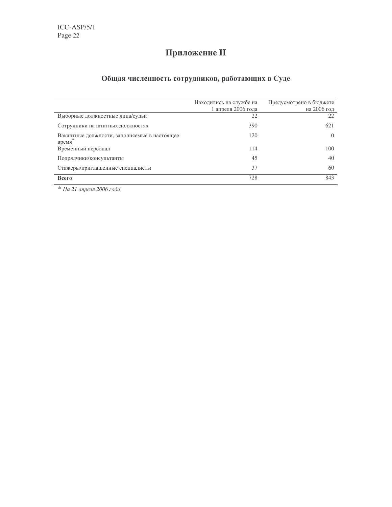## Приложение II

### Общая численность сотрудников, работающих в Суде

|                                                       | Находились на службе на<br>1 апреля 2006 года | Предусмотрено в бюджете<br>на 2006 год |
|-------------------------------------------------------|-----------------------------------------------|----------------------------------------|
| Выборные должностные лица/судьи                       | 22                                            | 22                                     |
| Сотрудники на штатных должностях                      | 390                                           | 621                                    |
| Вакантные должности, заполняемые в настоящее<br>время | 120                                           | $\Omega$                               |
| Временный персонал                                    | 114                                           | 100                                    |
| Подрядчики/консультанты                               | 45                                            | 40                                     |
| Стажеры/приглашенные специалисты                      | 37                                            | 60                                     |
| Всего                                                 | 728                                           | 843                                    |

\* На 21 апреля 2006 года.